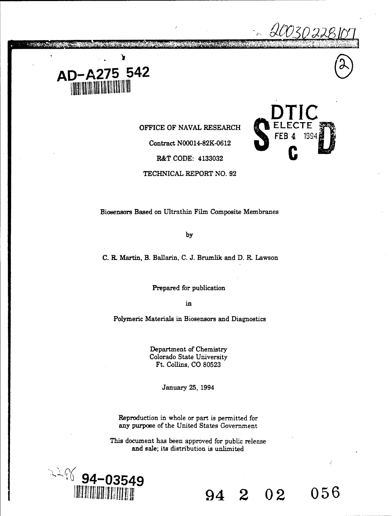

3.350425

**OFFICE OF NAVAL RESEARCH** 

Contract N00014-82K-0612

**R&T CODE: 4133032** 

TECHNICAL REPORT NO. 92



by

C. R. Martin, B. Ballanin, C. J. Brumlik and D. R. Lawson

Prepared for publication

in

Polymeric Materials in Biosensors and Diagnostics

Department of Chemistry Colorado State University Ft. Collins, CO 80523

January 25, 1994

Reproduction in whole or part is permitted for any purpose of the United States Government

This document has been approved for public release and sale; its distribution is unlimited



 $\frac{1}{2}$ 

**\_DTIC**

<u>20030228</u>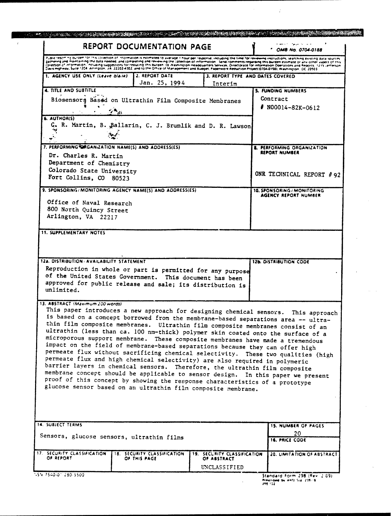| REPORT DOCUMENTATION PAGE                                                                                                                                                                                                                                                                                                                                                                                                                                                                                                                                                                                                                                                                                                                                                                                                                                                                                                                                                                                                                     | ماعا بالمرعوف التحققاء<br>OMB No. 0704-0188                |
|-----------------------------------------------------------------------------------------------------------------------------------------------------------------------------------------------------------------------------------------------------------------------------------------------------------------------------------------------------------------------------------------------------------------------------------------------------------------------------------------------------------------------------------------------------------------------------------------------------------------------------------------------------------------------------------------------------------------------------------------------------------------------------------------------------------------------------------------------------------------------------------------------------------------------------------------------------------------------------------------------------------------------------------------------|------------------------------------------------------------|
| Public reborting burden for this collection of information is estimated to average. I hour bey response, including the time for reviewing instructions, searching easting data sources<br>zathering and maintaining the data needed, and completing and reviewing the collection of information. Send comments regarding this builden estimate or any other aspect of this<br>collection of information, including suggestions for reducing this burgen, for Nashington Headquarters Services, Directorate for information Operations and Reports, 1215 Lefferson<br>Davis Highway, Suite 1204. Arrington, 24, 22202-4302, and to the Office of Management and Budget, Paperwork Reduction Project (0704-0198), Washington, DC 20503.                                                                                                                                                                                                                                                                                                         |                                                            |
| 2. REPORT DATE<br>1. AGENCY USE ONLY (Leave blank)<br>3. REPORT TYPE AND DATES COVERED<br>Jan. 25, 1994<br>Interim                                                                                                                                                                                                                                                                                                                                                                                                                                                                                                                                                                                                                                                                                                                                                                                                                                                                                                                            |                                                            |
| 4. TITLE AND SUBTITLE                                                                                                                                                                                                                                                                                                                                                                                                                                                                                                                                                                                                                                                                                                                                                                                                                                                                                                                                                                                                                         | 5. FUNDING NUMBERS                                         |
| Biosensors Based on Ultrathin Film Composite Membranes                                                                                                                                                                                                                                                                                                                                                                                                                                                                                                                                                                                                                                                                                                                                                                                                                                                                                                                                                                                        | Contract                                                   |
|                                                                                                                                                                                                                                                                                                                                                                                                                                                                                                                                                                                                                                                                                                                                                                                                                                                                                                                                                                                                                                               | $N00014 - 82K - 0612$                                      |
|                                                                                                                                                                                                                                                                                                                                                                                                                                                                                                                                                                                                                                                                                                                                                                                                                                                                                                                                                                                                                                               |                                                            |
| 6. AUTHOR(S)<br>C. R. Martin, B. Ballarin, C. J. Brumlik and D. R. Lawson                                                                                                                                                                                                                                                                                                                                                                                                                                                                                                                                                                                                                                                                                                                                                                                                                                                                                                                                                                     |                                                            |
|                                                                                                                                                                                                                                                                                                                                                                                                                                                                                                                                                                                                                                                                                                                                                                                                                                                                                                                                                                                                                                               |                                                            |
|                                                                                                                                                                                                                                                                                                                                                                                                                                                                                                                                                                                                                                                                                                                                                                                                                                                                                                                                                                                                                                               |                                                            |
| 7. PERFORMING CRGANIZATION NAME(S) AND ADDRESS(ES)                                                                                                                                                                                                                                                                                                                                                                                                                                                                                                                                                                                                                                                                                                                                                                                                                                                                                                                                                                                            | <b>8. PERFORMING ORGANIZATION</b>                          |
| Dr. Charles R. Martin                                                                                                                                                                                                                                                                                                                                                                                                                                                                                                                                                                                                                                                                                                                                                                                                                                                                                                                                                                                                                         | REPORT NUMBER                                              |
| Department of Chemistry                                                                                                                                                                                                                                                                                                                                                                                                                                                                                                                                                                                                                                                                                                                                                                                                                                                                                                                                                                                                                       |                                                            |
| Colorado State University                                                                                                                                                                                                                                                                                                                                                                                                                                                                                                                                                                                                                                                                                                                                                                                                                                                                                                                                                                                                                     |                                                            |
| Fort Collins, CO 80523                                                                                                                                                                                                                                                                                                                                                                                                                                                                                                                                                                                                                                                                                                                                                                                                                                                                                                                                                                                                                        | ONR TECHNICAL REPORT #92                                   |
|                                                                                                                                                                                                                                                                                                                                                                                                                                                                                                                                                                                                                                                                                                                                                                                                                                                                                                                                                                                                                                               |                                                            |
| 9. SPONSORING/MONITORING AGENCY NAME(S) AND ADDRESS(ES)                                                                                                                                                                                                                                                                                                                                                                                                                                                                                                                                                                                                                                                                                                                                                                                                                                                                                                                                                                                       | 10. SPONSORING / MONITORING<br><b>AGENCY REPORT NUMBER</b> |
| Office of Naval Research                                                                                                                                                                                                                                                                                                                                                                                                                                                                                                                                                                                                                                                                                                                                                                                                                                                                                                                                                                                                                      |                                                            |
| 800 North Quincy Street                                                                                                                                                                                                                                                                                                                                                                                                                                                                                                                                                                                                                                                                                                                                                                                                                                                                                                                                                                                                                       |                                                            |
| Arlington, VA 22217                                                                                                                                                                                                                                                                                                                                                                                                                                                                                                                                                                                                                                                                                                                                                                                                                                                                                                                                                                                                                           |                                                            |
|                                                                                                                                                                                                                                                                                                                                                                                                                                                                                                                                                                                                                                                                                                                                                                                                                                                                                                                                                                                                                                               |                                                            |
|                                                                                                                                                                                                                                                                                                                                                                                                                                                                                                                                                                                                                                                                                                                                                                                                                                                                                                                                                                                                                                               | <b>12b. DISTRIBUTION CODE</b>                              |
| 12a. DISTRIBUTION / AVAILABILITY STATEMENT<br>Reproduction in whole or part is permitted for any purpose<br>of the United States Government. This document has been<br>approved for public release and sale; its distribution is<br>unlimited.                                                                                                                                                                                                                                                                                                                                                                                                                                                                                                                                                                                                                                                                                                                                                                                                |                                                            |
| 13. ABSTRACT (Maximum 200 words)<br>This paper introduces a new approach for designing chemical sensors. This approach<br>is based on a concept borrowed from the membrane-based separations area -- ultra-<br>thin film composite membranes. Ultrathin film composite membranes consist of an<br>ultrathin (less than ca. 100 nm-thick) polymer skin coated onto the surface of a<br>microporous support membrane. These composite membranes have made a tremendous<br>impact on the field of membrane-based separations because they can offer high<br>permeate flux without sacrificing chemical selectivity. These two qualities (high<br>permeate flux and high chemical selectivity) are also required in polymeric<br>barrier layers in chemical sensors. Therefore, the ultrathin film composite<br>membrane concept should be applicable to sensor design. In this paper we present<br>proof of this concept by showing the response characteristics of a prototype<br>glucose sensor based on an ultrathin film composite membrane. |                                                            |
| <b>14. SUBJECT TERMS</b>                                                                                                                                                                                                                                                                                                                                                                                                                                                                                                                                                                                                                                                                                                                                                                                                                                                                                                                                                                                                                      | <b>15. NUMBER OF PAGES</b>                                 |
| Sensors, glucose sensors, ultrathin films                                                                                                                                                                                                                                                                                                                                                                                                                                                                                                                                                                                                                                                                                                                                                                                                                                                                                                                                                                                                     | 20<br><b>16. PRICE CODE</b>                                |
| 17. SECURITY CLASSIFICATION<br>18. SECURITY CLASSIFICATION<br>19. SECURITY CLASSIFICATION                                                                                                                                                                                                                                                                                                                                                                                                                                                                                                                                                                                                                                                                                                                                                                                                                                                                                                                                                     | 20. LIMITATION OF ABSTRACT                                 |
| OF REPORT<br>OF THIS PAGE.<br>OF ABSTRACT<br>UNCLASSIFIED                                                                                                                                                                                                                                                                                                                                                                                                                                                                                                                                                                                                                                                                                                                                                                                                                                                                                                                                                                                     |                                                            |

 $\vec{r}$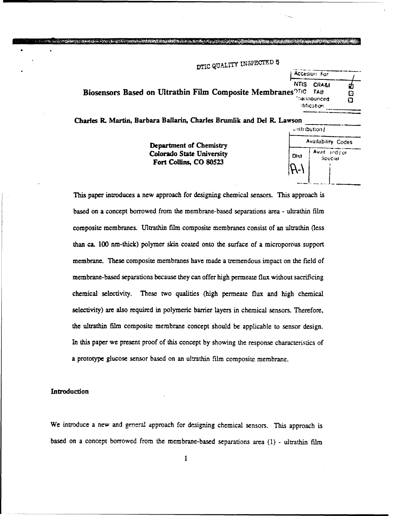DTIC QUALITY INSPECTED **5** 

Accesion For NTIS CRA&I Biosensors Based on Ultrathin Film Composite Membranes<sup>OTIC</sup> TAB 'nannounced Q<br>...stification

Charles **R.** Martin, Barbara Ballarin, Charles Brumlik and Del R. Lawson

**Department of Chemistry** Colorado State University f, **I** •c,\*or**.** Fort Collins, CO 80523

| wson |                |                           |  |
|------|----------------|---------------------------|--|
|      | eistribution [ |                           |  |
|      |                | <b>Availability Codes</b> |  |
|      | Dist           | Avail and for<br>Special  |  |
|      |                |                           |  |
|      |                |                           |  |

φ  $\Box$ 

This paper introduces a new approach for designing chemical sensors. This approach is based on a concept borrowed from the membrane-based separations area - ultrathin film composite membranes. Ultrathin film composite membranes consist of an ultrathin (less than ca. 100 m-thick) polymer skin coated onto the surface of a microporous support membrane. These composite membranes have made a tremendous impact on the field of membrane-based separations because they can offer high permeate flux without sacrificing chemical selectivity. These two qualities (high permeate flux and high chemical selectivity) are also required in polymeric barrier layers in chemical sensors. Therefore, the ultrathin film composite membrane concept should be applicable to sensor design. In this paper we present proof of this concept by showing the response characteristics of a prototype glucose sensor based on an ultrathin film composite membrane.

## Introduction

We introduce a new and general approach for designing chemical sensors. This approach is based on a concept borrowed from the membrane-based separations area **(1)** - ultrathin film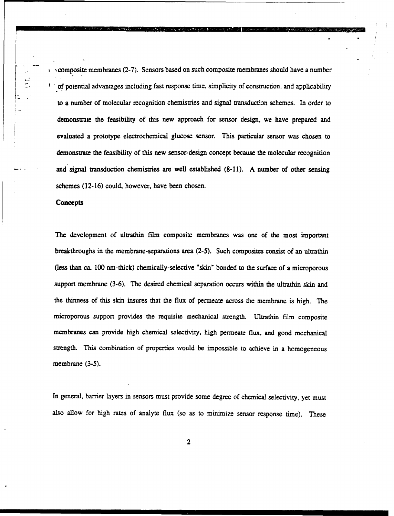$\alpha$ ,  $\alpha$  composite membranes (2-7). Sensors based on such composite membranes should have a number  $C$  of potential advantages including fast response time, simplicity of construction, and applicability to a number of molecular recognition chemistries and signal transductin schemes. In order to demonstrate the feasibility of this new approach for sensor design, we have prepared and evaluated a prototype electrochemical glucose sensor. This particular sensor was chosen to demonstrate the feasibility of this new sensor-design concept because the molecular recognition and signal transduction chemistries are well established (8-11). A number of other sensing schemes (12-16) could, however, have been chosen.

#### **Concepts**

The development of ultrathin film composite membranes was one of the most important breakthroughs in the membrane-separations area (2-5). Such composites consist of an ultrathin (less than ca. 100 nm-thick) chemically-selective "skin" bonded to the surface of a microporous support membrane (3-6). The desired chemical separation occurs within the ultrathin skin and the thinness of this skin insures that the flux of permeate across the membrane is high. The microporous support provides the requisite mechanical strength. Ultrathin film composite membranes can provide high chemical sclectivity, high permeate flux, and good mechanical strength. This combination of properties would be impossible to achieve in a homogeneous membrane (3-5).

In general, barrier layers in sensors must provide some degree of chemical selectivity, yet must also allow for high rates of analyte flux (so as to minimize sensor response time). These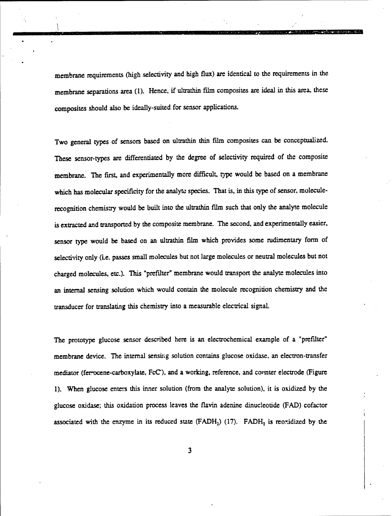membrane requirements (high selectivity and high flux) are identical to the requirements in the membrane separations area (1). Hence, if ultrathin film composites are ideal in this area, these composites should also be ideally-suited for sensor applications.

Two general types of sensors based on ultrathin thin film composites can be conceptualized. These sensor-types are differentiated by the degree of selectivity required of the composite membrane. The first, and experimentally more difficult, type would be based on a membrane which has molecular specificity for the analyte species. That is, in this type of sensor, moleculerecognition chemistry would be built into the ultrathin film such that only the analyte molecule is extracted and transported by the composite membrane. The second, and experimentally easier, sensor type would be based on an ultrathin film which provides some rudimentary form of selectivity only (i.e. passes small molecules but not large molecules or neutral molecules but not charged molecules, etc.). This "prefilter" membrane would transport the analyte molecules into an internal sensing solution which would contain the molecule recognition chemistry and the transducer for translating this chemistry into a measurable electrical signal.

The prototype glucose sensor described here is an electrochemical example of a "prefilter" membrane device. The internal sensing solution contains glucose oxidase, an electron-transfer mediator (ferrocene-carboxylate, FcC), and a working, reference, and counter electrode (Figure **1).** When glucose enters this inner solution (from the analyte solution), it is oxidized by the glucose oxidase; this oxidation process leaves the flavin adenine dinucleotide (FAD) cofactor associated with the enzyme in its reduced state  $(FADH<sub>2</sub>)$  (17).  $FADH<sub>2</sub>$  is reoxidized by the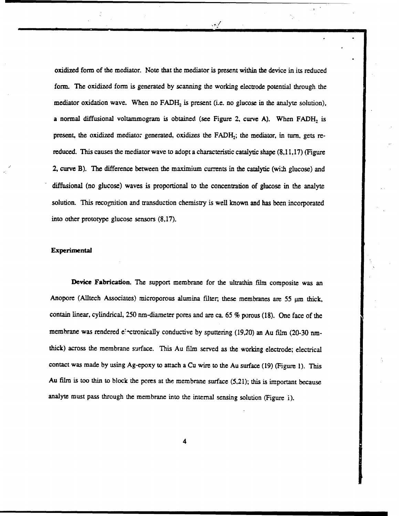oxidized form of the mediator. Note that the mediator is present within the device in its reduced form. The oxidized form is generated by scanning the working electrode potential through the mediator oxidation wave. When no  $FADH<sub>2</sub>$  is present (i.e. no glucose in the analyte solution), a normal diffusional voltammogram is obtained (see Figure 2, curve A). When  $FADH<sub>2</sub>$  is present, the oxidized mediator generated, oxidizes the FADH<sub>2</sub>; the mediator, in turn, gets rereduced. This causes the mediator wave to adopt a characteristic catalytic shape (8,11,17) (Figure 2, curve B). The difference between the maximium currents in the catalytic (with glucose) and diffusional (no glucose) waves is proportional to the concentration of glucose in the analyte solution. This recognition and transduction chemistry is well known and has been incorporated into other prototype glucose sensors (8,17).

# Experimental

Device Fabrication. The support membrane for the ultrathin film composite was an Anopore (Alltech Associates) microporous alumina filter, these membranes are 55  $\mu$ m thick, contain linear, cylindrical, 250 nm-diameter pores and are ca. 65 % porous (18). One face of the membrane was rendered e'-ctronically conductive by sputtering (19,20) an Au film (20-30 nmthick) across the membrane surface. This Au film served as the working electrode; electrical contact was made by using Ag-epoxy to attach a Cu wire to the Au surface (19) (Figure 1). This Au film is too thin to block the pores at the membrane surface (5,21); this is important because analyte must pass through the membrane into the internal sensing solution (Figure i).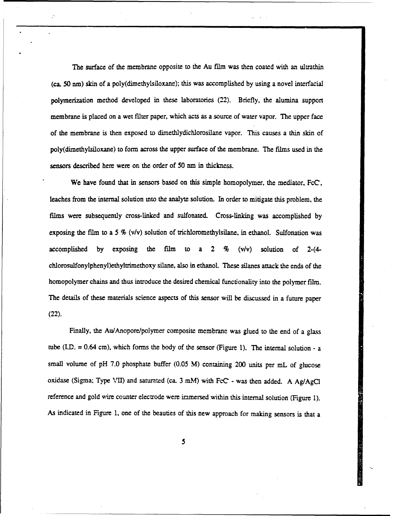The surface of the membrane opposite to the Au film was then coated with an ultrathin (ca. 50 nm) skin of a poly(dimethylsiloxane); this was accomplished by using a novel interfacial polymerization method developed in these laboratories (22). Briefly, the alumina support membrane is placed on a wet filter paper, which acts as a source of water vapor. The upper face of the membrane is then exposed to dimethlydichlorosilane vapor. This causes a thin skin of poly(dimethylsiloxane) to form across the upper surface of the membrane. The films used in the sensors described here were on the order of 50 nm in thickness.

We have found that in sensors based on this simple homopolymer, the mediator, FcC, leaches from the internal solution into the analyte solution. In order to mitigate this problem, the films were subsequently cross-linked and sulfonated. Cross-linking was accomplished by exposing the film to a 5  $\%$  (v/v) solution of trichloromethylsilane, in ethanol. Sulfonation was accomplished by exposing the film to a 2 % (v/v) solution of 2- $(4-)$ chlorosulfonylphenyl)ethyltrimethoxy silane, also in ethanol. These silanes attack the ends of the homopolymer chains and thus introduce the desired chemical functionality into the polymer film. The details of these materials science aspects of this sensor will be discussed in a future paper (22).

Finally, the Au/Anopore/polymer composite membrane was glued to the end of a glass tube (LD. = 0.64 cm), which forms the body of the sensor (Figure **1).** The internal solution - a small volume of pH 7.0 phosphate buffer (0.05 M) containing 200 units per mL of glucose oxidase (Sigma; Type VII) and saturated (ca. 3 mM) with FcC - was then added. A Ag/AgCl reference and gold wire counter electrode were immersed within this internal solution (Figure **1).** As indicated in Figure **1,** one of the beauties of this new approach for making sensors is that a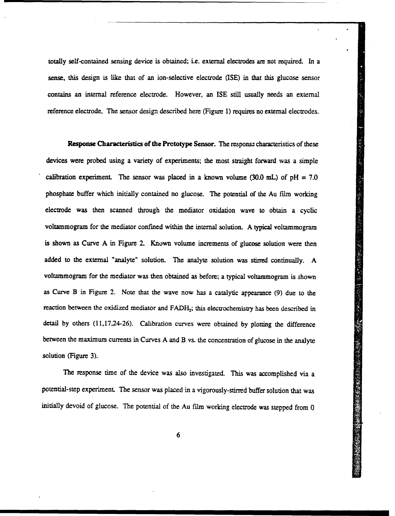totally self-contained sensing device is obtained; i.e. external electrodes are not required. In a sense, this design is like that of an ion-selective electrode (ISE) in that this glucose sensor contains an internal reference electrode. However, an ISE still usually needs an external reference electrode. The sensor design described here (Figure 1) requires no external electrodes.

Response Characteristics of the Pretotype Sensor. The response characteristics of these devices were probed using a variety of experiments; the most straight forward was a simple calibration experiment. The sensor was placed in a known volume (30.0 mL) of  $pH = 7.0$ phosphate buffer which initially contained no glucose. The potential of the Au film working electrode was then scanned through the mediator oxidation wave to obtain a cyclic voltammogram for the mediator confined within the internal solution. A typical voltammogram is shown as Curve **A** in Figure 2. Known volume increments of glucose solution were then added to the external "analyte" solution. The analyte solution was stirred continually. A voltammogram for the mediator was then obtained as before; a typical voltammogram is shown as Curve B in Figure 2. Note that the wave now has a catalytic appearance **(9)** due to the reaction between the oxidized mediator and FADH<sub>2</sub>; this electrochemistry has been described in detail by others (11,17,24-26). Calibration curves were obtained by plotting the difference between the maximum currents in Curves A and B vs. the concentration of glucose in the analyte solution (Figure 3).

The response time of the device was also investigated. This was accomplished via a potential-step experiment. The sensor was placed in a vigorously-stirred buffer solution that was initially devoid of glucose. The potential of the Au film working electrode was stepped from 0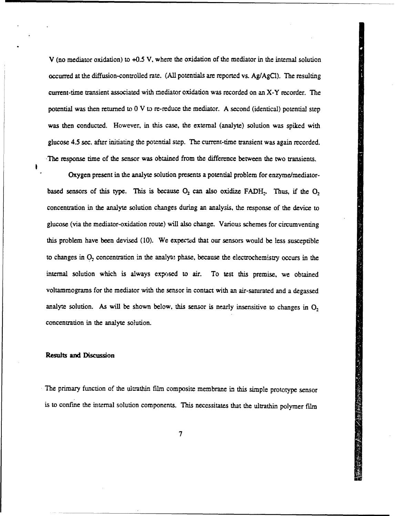V (no mediator oxidation) to +0.5 V, where the oxidation of the mediator in the internal solution occurred at the diffusion-controlled rate. (All potentials are reported vs. Ag/AgC1). The resulting current-time transient associated with mediator oxidation was recorded on an X-Y recorder. The potential was then returned to 0 V to re-reduce the mediator. A second (identical) potential step was then conducted. However, in this case, the external (analyte) solution was spiked with glucose 4.5 sec. after initiating the potential step. The current-time transient was again recorded. The response time of the sensor was obtained from the difference between the two transients.

Oxygen present in the analyte solution presents a potential problem for enzyme/mediatorbased sensors of this type. This is because  $O_2$  can also oxidize FADH<sub>2</sub>. Thus, if the  $O_2$ concentration in the analyte solution changes during an analysis, the response of the device to glucose (via the mediator-oxidation route) will also change. Various schemes for circumventing this problem have been devised (10). We expected that our sensors would be less susceptible to changes in  $O_2$  concentration in the analyte phase, because the electrochemistry occurs in the internal solution which is always exposed to air. To test this premise, we obtained voltammograms for the mediator with the sensor in contact with an air-saturated and a degassed analyte solution. As will be shown below, this sensor is nearly insensitive to changes in  $O<sub>2</sub>$ concentration in the analyte solution.

## Results and **Discussion**

The primary function of the ultrathin film composite membrane in this simple prototype sensor is to confine the internal solution components. This necessitates that the ultrathin polymer film

**中国語 医卵巢病毒 人間 医体膜神经神经**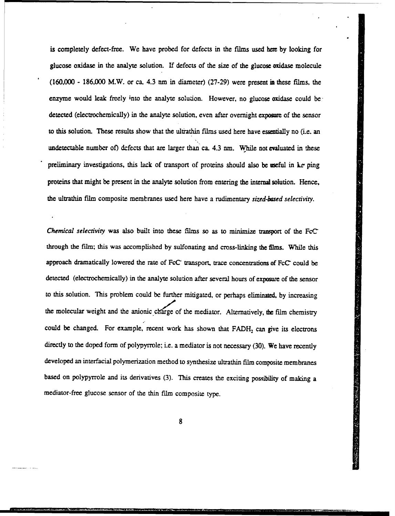is completely defect-free. We have probed for defects in the films used **here** by looking for glucose oxidase in the analyte solution. If defects of the size of the glucose oxidase molecule (160,000 - 186,000 M.W. or ca. 4.3 **nm** in diameter) (27-29) were present in these films, the enzyme would leak freely into the analyte solution. However, no glucose oxidase could be, detected (electrochemically) in the analyte solution, even after overnight exposure of the sensor to this solution. These results show that the ultrathin films used here have essentially no (i.e. an undetectable number of) defects that are larger than ca. 4.3 nm. While not evaluated in these preliminary investigations, this lack of transport of proteins should also be useful in ke ping proteins that might be present in the analyte solution from entering the internal solution. Hence, the ultrathin film composite membranes used here have a rudimentary *sized-based selectivity.*

*Chemical selectivity* was also built into these films so as to minimize transport of the FcC through the film; this was accomplished by sulfonating and cross-linking the films. While this approach dramatically lowered the rate of FcC transport, trace concentrations of FcC could be detected (electrochemically) in the analyte solution after several hours of exposure of the sensor to this solution. This problem could be further mitigated, or perhaps eliminated, by increasing the molecular weight and the anionic charge of the mediator. Alternatively, the film chemistry could be changed. For example, recent work has shown that FADH<sub>2</sub> can give its electrons directly to the doped form of polypyrrole; i.e. a mediator is not necessary (30). We have recently developed an interfacial polymerization method to synthesize ultrathin film composite membranes based on polypyrrole and its derivatives (3). This creates the exciting possibility of making a mediator-free glucose sensor of the thin film composite type.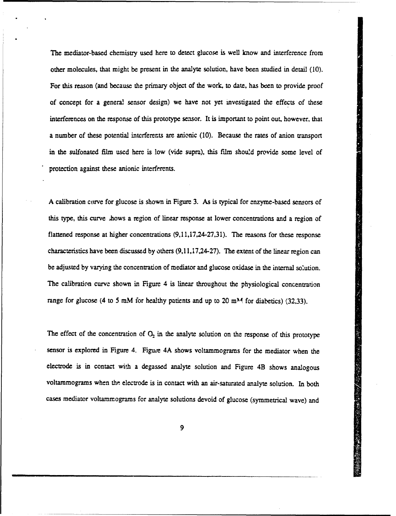The mediator-based chemistry used here to detect glucose is well know and interference from other molecules, that might be present in the analyte solution, have been studied in detail (10). For this reason (and because the primary object of the work, to date, has been to provide proof of concept for a general sensor design) we have not yet investigated the effects of these interferences on the response of this prototype sensor. It is important to point out, however, that a number of these potential intcrferents are anionic (10). Because the rates of anion transport in the sulfonated film used here is low (vide supra), this film should provide some level of protection against these anionic interferents.

A calibration curve for glucose is shown in Figure 3. As is typical for enzyme-based sensors of this type, this curve lhows a region of linear response at lower concentrations and a region of flattened response at higher concentrations (9,11,17,24-27,31). The reasons for these response characteristics have been discussed by others (9,11,17,24-27). The extent of the linear region can be adjusted by varying the concentration of mediator and glucose oxidase in the internal solution. The calibration curve shown in Figure 4 is linear throughout the physiological concentration range for glucose (4 to 5 mM for healthy patients and up to 20 m<sup>M</sup> for diabetics) (32,33).

The effect of the concentration of  $O_2$  in the analyte solution on the response of this prototype sensor is explored in Figure 4. Figure 4A shows voltammograms for the mediator when the electrode is in contact with a degassed analyte solution and Figure 4B shows analogous voltammograms when the electrode is in contact with an air-saturated analyte solution. In both cases mediator voltammograms for analyte solutions devoid of glucose (symmetrical wave) and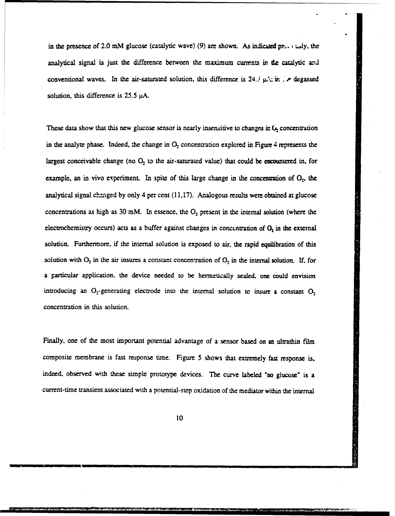in the presence of 2.0 mM glucose (catalytic wave) (9) are shown. As indicated pn.  $\epsilon$  i...ly, the analytical signal is just the difference between the maximum currents in the catalytic and conventional waves. In the air-saturated solution, this difference is  $24 \div \mu$ . *r.* degassed solution, this difference is 25.5 *ptA.*

These data show that this new glucose sensor is nearly insensitive to changes in  $\mathbf{G}_2$  concentration in the analyte phase. Indeed, the change in  $O_2$  concentration explored in Figure 4 represents the largest conceivable change (no  $O_2$  to the air-saturated value) that could be encountered in, for example, an in vivo experiment. In spite of this large change in the concentration of  $O_2$ , the analytical signal changed by only 4 per cent  $(11,17)$ . Analogous results were obtained at glucose concentrations as high as 30 mM. In essence, the  $O<sub>2</sub>$  present in the internal solution (where the electrochemistry occurs) acts as a buffer against changes in concentration of O<sub>2</sub>, in the external solution. Furthermore, if the internal solution is exposed to air, the rapid equilibration of this solution with  $O_2$  in the air insures a constant concentration of  $O_2$  in the internal solution. If, for a particular application, the device needed to be hermetically sealed, one could envision introducing an  $O_2$ -generating electrode into the internal solution to insure a constant  $O_2$ concentration in this solution.

Finally, one of the most important potential advantage of a sensor based on an ultrathin film composite membrane is fast response time. Figure 5 shows that extremely fast response is, indeed, observed with these simple prototype devices. The curve labeled "no glucose" is a current-time transient associated with a potential-step oxidation of the mediator within the internal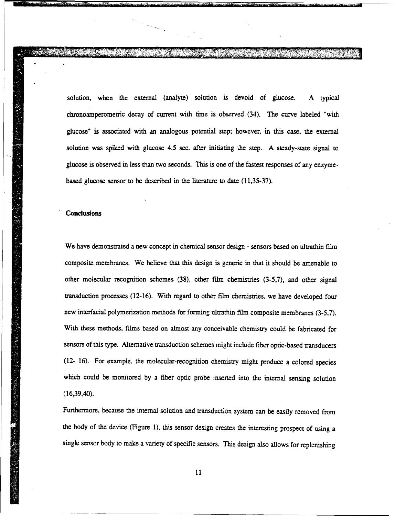solution, when the external (analyte) solution is devoid of glucose. A typical chronoamperometric decay of current with time is observed (34). The curve labeled "with glucose" is associated with an analogous potential step; however, in this case, the external solution was spiked with glucose 4.5 sec. after initiating the step. A steady-state signal to glucose is observed in less than two seconds. This is one of the fastest responses of any enzymebased glucose sensor to be described in the literature to date (11,35-37).

k •....•~~~~~~~ i ., , . . .... , , **...** ~~~~ .••, **...** ..... **..**. .. **.,, ... -.**~ **-.**-.....- **-.. <sup>1</sup>** , , .\_ ,q o . , ,,. • • • •• •, ... **,** .. . .... .. ...

**7, 7 , 7"**

### **Conclusions**

We have demonstrated a new concept in chemical sensor design - sensors based on ultrathin film composite membranes. We believe that this design is generic in that it should be amenable to other molecular recognition schcmes (38), other film chemistries (3-5,7), and other signal transduction processes (12-16). With regard to other film chemistries, we have developed four new interfacial polymerization methods for forming ultrathin film composite membranes (3-5,7). With these methods, films based on almost any conceivable chemistry could be fabricated for sensors of this type. Alternative transduction schemes might include fiber optic-based transducers (12- 16). For example, the molecular-recognition chemistry might produce a colored species which could be monitored by a fiber optic probe inserted into the internal sensing solution (16,39,40).

Furthermore, because the internal solution and transduction system can be easily removed from the body of the device (Figure 1), this sensor design creates the interesting prospect of using a single sensor body to make a variety of specific sensors. This design also allows for replenishing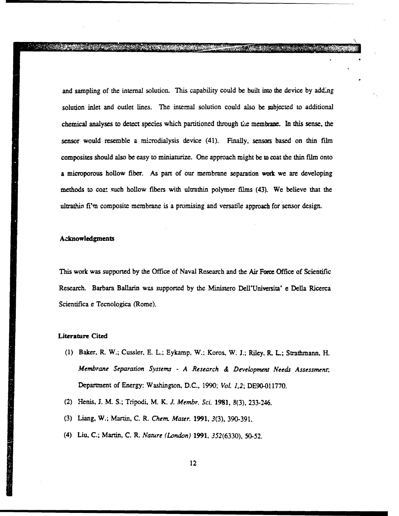and sampling of the internal solution. This capability could be built into the device by adding solution inlet and outlet lines. The internal solution could also be subjected to additional chemical analyses to detect species which partitioned through t;e membrane. In this sense, the sensor would resemble a microdialysis device (41). Finally, sensors based on thin film composites should also be easy to miniaturize. One approach might be to coat the thin film onto a microporous hollow fiber. As part of our membrane separation work we are developing methods to coat such hollow fibers with ultrathin polymer films (43). We believe that the ultrathin fi'm composite membrane is a promising and versatile approach for sensor design.

**ANG ANG KABUPATEN DI PARTIT** 

## Acknowledgments

This work was supported by the Office of Naval Research and the Air Force Office of Scientific Research. Barbara Ballarin was supported by the Ministero Dell'Universita' e Della Ricerca Scientifica e Tecnologica (Rome).

## Literature Cited

- (1) Baker, R. W.; Cussler, E. L; Eykamp, W.; Koros, W. J.; Riley, R. L; Strathmann, H. *Membrane Separation Systems* **-** *A Research & Development Needs Assessment,* Department of Energy: Washington, D.C., 1990; *Vol. 1,2;* DE90-011770.
- (2) Henis, J. M. S.; Tripodi, M. K. *J. Membr. Sci.* 1981, 8(3), 233-246.
- (3) Liang, W.; Martin, C. R. *Chem. Mater.* 1991, 3(3), 390-391.
- (4) Liu, C.; Martin, C. R. *Nature (London)* 1991, *352(6330),* 50-52.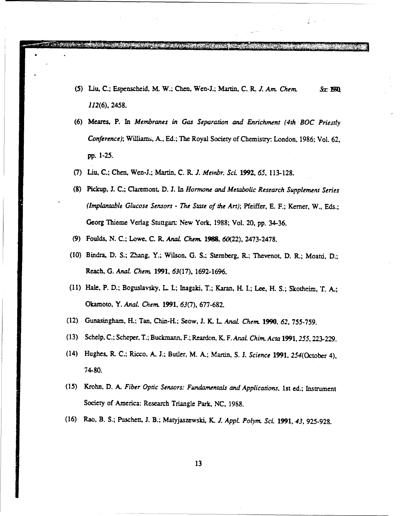- *(5)* Liu, C.; Espenscheid, M. W.; Chen, Wen-J.; Martin, C. R. *1. Am. Chem.* So **IM** 112(6), 2458.
- (6) Meares, P. In *Membranes in Gas Separation and Enrichment (4th BOC Priestly Conference);* Williams, A., Ed.; The Royal Society of Chemistry: London, 1986; Vol. 62, pp. 1-25.
- (7) Liu, C.; Chen, Wen-J.; Martin, C. R. *J. .Meinbr. Sci* **1992,** *65,* 113-128.

- (8) Pickup, 3. C.; Claremont, D. **J.** In *Hormone and Metabolic Research Supplement Series (Implantable Glucose Sensors* - *The State of the Art);* Pfeiffer, E. F.; Kerner, W., Eds.; Georg Thieme Verlag Stuttgart: New York, 1988; Vol. 20, pp. 34-36.
- (9) Foulds, N. C.; Lowe, C. R. *Anal. Chem.* **1988,** 60(22), 2473-2478.
- (10) Bindra, D. S.; Zhang, Y.; Wilson, G. S.; Sternberg, R.; Thevenot, D. R.; Moatci, D.; Reach, G. *Anal. Chem.* **1991,** 63(17). 1692-1696.
- **(11)** Hale, P. D.; Boguslavsky, L. L; Inagaki, T.; Karan, H. L; Lee, H. **S.;** Skotheim, T. A.; Okamoto, Y. *Anal. Chem.* **1991,** 63(7), 677-682.
- (12) Gunasingham, H.; Tan, Chin-H.; Seow, **J.** K. L. Anal. Chem. **1990,** 62, 755-759.
- (13) Schelp, C.; Scheper, T.; Buckmann, F.; Reardon, K. F. *Anal Chin. Acta* 1991, 255, 223-229.
- (14) Hughes, R. C.; Ricco, A. **I.;** Butler, M. A.; Martin, **S. J.** *Science* **1991,** 254(October 4), 74-80.
- (15) Krohn, D. **A.** *Fiber Optic Sensors: Fundamentals and Applications, Ist* ed.; Instrument Society of America: Research Triangle Park, NC, 1988.
- (16) Rao, B. **S.;** Puschett, **J.** B.; Matyjaszewski, K. *I. Appl.* Polym. *Sci.* **1991,** 43, 925-928.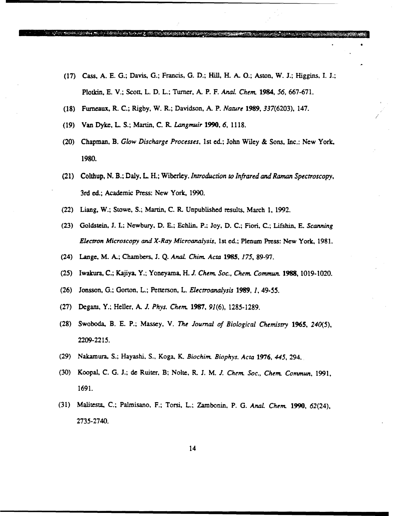(17) Cass. A. E. G.; Davis, G.; Francis, G. D.; Hill, H. A. **0.;** Aston, W. J.; Higgins, I. J.; Plotkin, E. V.; Scott, L. D. L.; Turner, A. P. F. *Anal. Chem.* 1984, *56,* 667-671.

Kabup (pinggirang pagkatan

- (18) Furneaux, R. C.; Rigby, W. R.; Davidson, A. P. *Nature* 1989, 337(6203), 147.
- (19) Van Dyke, L S.; Martin, C. R. *Langmuir* 1990, 6, 1118.

e (ang pangkalang mengelaki pangkalang pangkalang menggalang menggalang menggalang menggalang menggalang menggalang menggalang menggalang menggalang menggalang menggalang menggalang menggalang menggalang menggalang menggal

- (20) Chapman, B. *Glow Discharge Processes,* 1st ed.; John Wiley & Sons, Inc.: New York, 1980.
- (21) Colthup, N. B.; Daly, L H.; Wiberley. *Introduction to Infrared and Raman Spectroscopy,* 3rd ed.; Academic Press: New York, 1990.
- (22) Liang, W.; Stowe, S.; Martin, C. R. Unpublished results, March 1, 1992.
- (23) Goldstein, **J.** I.; Newbury, D. F; Echlin, P.: Joy, D. C.; Fiori, C.; Lifshin, E. *Scanning Electron Microscopy and X-Ray Microanalysis,* 1st ed.; Plenum Press: New York, **1981.**
- (24) Lange, M. A.; Chambers, J. Q. *Anal. Chim. Acta* 1985, *175,* 89-97.
- (25) Iwakura, C.; Kajiya, Y.; Yoneyama, H. *J. Chem. Soc., Chem. Commun.* 1988, 1019-1020.
- (26) Jonsson, G.; Gorton, L.; Petterson, L. *Electroanalysis* 1989, 1, 49-55.
- (27) Degam, Y.; Hefler, A. *J. Phys. Chem.* 1987, 91(6), 1285-1289.
- (28) Swoboda, B. E. P.; Massey, V. *The Journal of Biological Chemistry 1965, 240(5),* 2209-2215.
- (29) Nakamura, S.; Hayashi, S., Koga, K. *Biochim. Biophys. Acta* 1976, *445,* 294.
- (30) Koopal, C. G. J.; de Ruiter, B; Nolte, R. J. M. **J.** Chem *Soc., Chem. Commun,* 1991, 1691.
- (31) Malitesta, C.; Palmisano, F.; Torsi, L.; Zambonin, P. G. *Anal* Chem. 1990, 62(24), 2735-2740.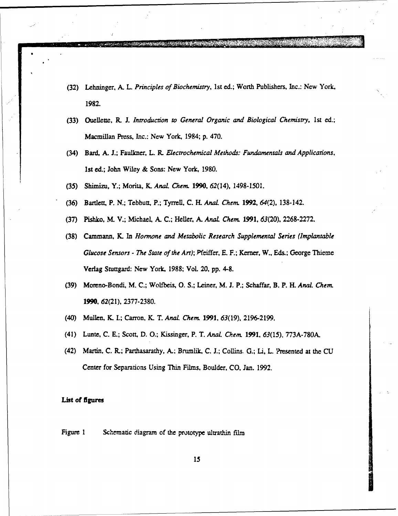- (32) Lehninger, A. L. *Principles of Biochemistry,* 1st ed.; Worth Publishers, Inc.: New York, 1982.
- (33) Ouellette, R. J. *Introduction to General Organic and Biological Chemistry,* 1st ed.; Macmillan Press, Inc.: New York, 1984; p. 470.
- (34) Bard, A. J.; Faulkner, L. R. *Electrochemical Methods: Fundamentals and Applications,* Ist ed.; John Wiley & Sons: New York, 1980.
- (35) Shimizu, Y.; Morita, K. *AnaL Chem.* 1990, 62(14), 1498-1501.
- (36) Bartlett, P. N.; Tebbutt, P.; Tyrrell, C. H. *Anal. Chem.* 1992, 64(2), 138-142.
- (37) Pishko, M. V.; Michael, A. C.; Heller, A. *AnaL Chem.* 1991, 63(20), 2268-2272.
- (38) Cammann, K. In *Hormone and Metabolic Research Supplemental Series (Implantable Glucose Sensors* - *The State of the Art);* Pfeiffer, E. F.; Kerner, W., Eds.; George Thieme Verlag Stuttgard: New York, 1988; VoL 20, pp. 4-8.
- (39) Moreno-Bonda M. C.; Wolfbeis, **0.** S.; Leiner, M. **J.** P.; Schaffar, B. P. H. *Anal. Chem.* 1990, 62(21), 2377-2380.
- (40) Mullen, K. L; Carron, K. T. *AnaL* Chem. 1991, *63(19),* 2196-2199.
- (41) Lunte, C. E.; Scott, D. **0.;** Kissinger, P. T. *Anal Chemn.* 1991, 63(15)., 773A-780A.
- (42) Martin, **C.** IL; Parthasarathy, A.; Brumlik, C. **J.;** Collins. G.; Li, L. ?resented at the **CU** Center for Separations Using Thin Films, Boulder, **CO,** Jan. 1992.

### List of figures

Figure 1 Schematic diagram of the prototype ultrathin film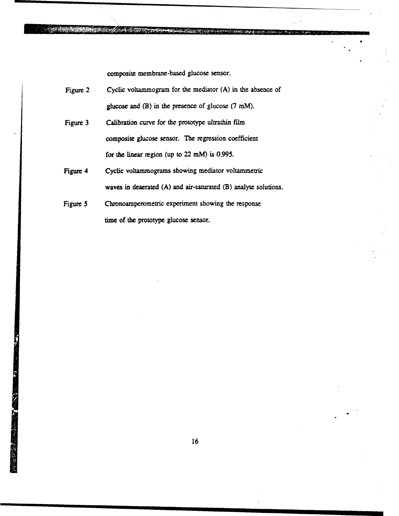composite membrane-based glucose sensor.

<u> 1999 - Jan Alexandro Alexandro Alexandro (</u>

| Figure 2 | Cyclic voltammogram for the mediator (A) in the absence of          |
|----------|---------------------------------------------------------------------|
|          | glucose and $(B)$ in the presence of glucose $(7 \text{ mM})$ .     |
| Figure 3 | Calibration curve for the prototype ultrathin film                  |
|          | composite glucose sensor. The regression coefficient                |
|          | for the linear region (up to $22 \text{ mM}$ ) is 0.995.            |
| Figure 4 | Cyclic voltammograms showing mediator voltammetric                  |
|          | waves in deaerated $(A)$ and air-saturated $(B)$ analyte solutions. |
| Figure 5 | Chronoamperometric experiment showing the response                  |
|          | time of the prototype glucose sensor.                               |

S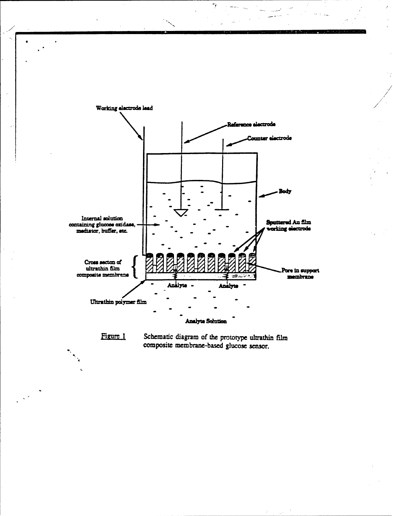



Schematic diagram of the prototype ultrathin film composite membrane-based glucose sensor.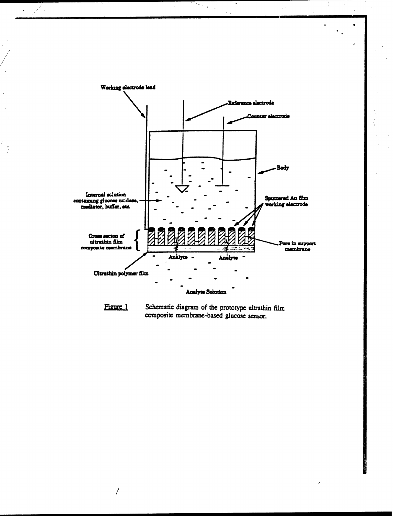

 $\sum_{i\in\{1,\ldots,n\}}$ 

 $\ddot{\phantom{a}}$ 

SK.

 $\hat{r}$ 

Figure 1 Schematic diagram of the prototype ultrathin film composite membrane-based glucose sensor.

 $\prime$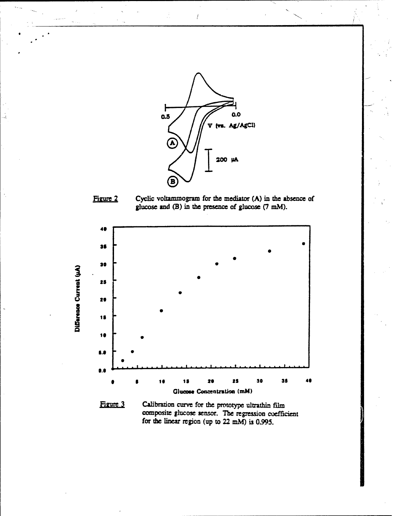

 $\overline{I}$